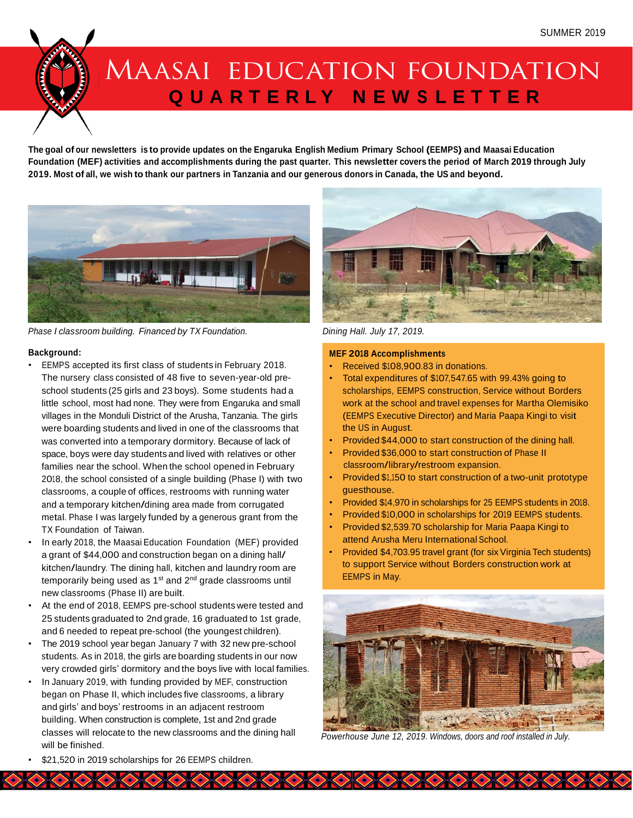# MAASAI EDUCATION FOUNDATION **Q U A R T E R L Y N E W S L E T T E R**

The goal of our newsletters is to provide updates on the Engaruka English Medium Primary School (EEMPS) and Maasai Education Foundation (MEF) activities and accomplishments during the past quarter. This newsletter covers the period of March 2019 through July 2019. Most of all, we wish to thank our partners in Tanzania and our generous donors in Canada, the US and beyond.



*Phase I classroom building. Financed by TX Foundation. Dining Hall. July 17, 2019.*

#### **Background:**

- EEMPS accepted its first class of students in February 2018. The nursery class consisted of 48 five to seven-year-old preschool students (25 girls and 23 boys). Some students had a little school, most had none. They were from Engaruka and small villages in the Monduli District of the Arusha, Tanzania. The girls were boarding students and lived in one of the classrooms that was converted into a temporary dormitory. Because of lack of space, boys were day students and lived with relatives or other families near the school. When the school opened in February 2018, the school consisted of a single building (Phase I) with two classrooms, a couple of offices, restrooms with running water and <sup>a</sup> temporary kitchen/dining area made from corrugated metal. Phase I was largely funded by a generous grant from the TX Foundation of Taiwan.
- In early 2018, the Maasai Education Foundation (MEF) provided <sup>a</sup> grant of \$44,000 and construction began on <sup>a</sup> dining hall/ kitchen/laundry. The dining hall, kitchen and laundry room are temporarily being used as  $1<sup>st</sup>$  and  $2<sup>nd</sup>$  grade classrooms until new classrooms (Phase II) are built.
- At the end of 2018, EEMPS pre-school students were tested and 25 students graduated to 2nd grade, 16 graduated to 1st grade, and 6 needed to repeat pre-school (the youngest children).
- The 2019 school year began January 7 with 32 new pre-school students. As in 2018, the girls are boarding students in our now very crowded girls' dormitory and the boys live with local families.
- In January 2019, with funding provided by MEF, construction began on Phase II, which includes five classrooms, a library and girls' and boys' restrooms in an adjacent restroom building. When construction is complete, 1st and 2nd grade classes will relocate to the new classrooms and the dining hall will be finished.



#### **MEF 2018 Accomplishments**

- Received \$108,900.83 in donations.
- Total expenditures of \$107,547.65 with 99.43% going to scholarships, EEMPS construction, Service without Borders work at the school and travel expenses for Martha Olemisiko (EEMPS Executive Director) and Maria Paapa Kingi to visit the US in August.
- Provided \$44,000 to start construction of the dining hall.
- Provided \$36,000 to start construction of Phase II classroom/library/restroom expansion.
- Provided \$1,150 to start construction of a two-unit prototype guesthouse.
- Provided \$14,970 in scholarships for 25 EEMPS students in 2018.
- Provided \$10,000 in scholarships for 2019 EEMPS students.
- Provided \$2,539.70 scholarship for Maria Paapa Kingi to attend Arusha Meru International School.
- Provided \$4,703.95 travel grant (for six Virginia Tech students) to support Service without Borders construction work at EEMPS in May.



*Powerhouse June 12, 2019. Windows, doors and roof installed in July.*

**A RACK A RACK A RACK A RACK** 

\$21,520 in 2019 scholarships for 26 EEMPS children.